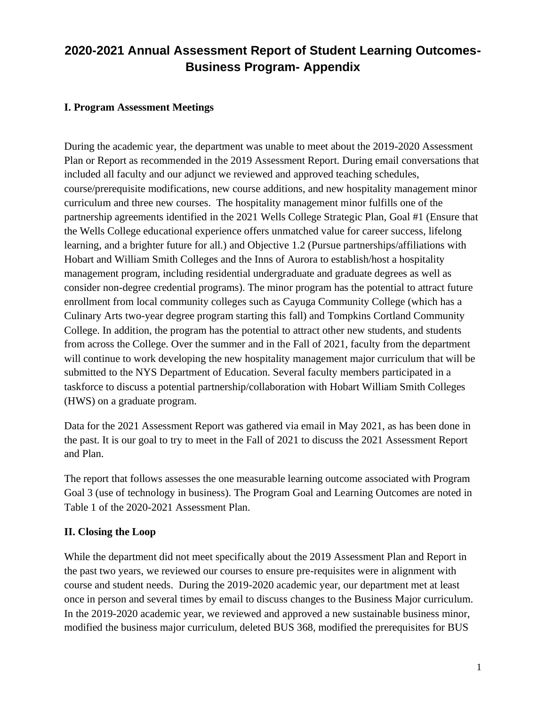### **I. Program Assessment Meetings**

During the academic year, the department was unable to meet about the 2019-2020 Assessment Plan or Report as recommended in the 2019 Assessment Report. During email conversations that included all faculty and our adjunct we reviewed and approved teaching schedules, course/prerequisite modifications, new course additions, and new hospitality management minor curriculum and three new courses. The hospitality management minor fulfills one of the partnership agreements identified in the 2021 Wells College Strategic Plan, Goal #1 (Ensure that the Wells College educational experience offers unmatched value for career success, lifelong learning, and a brighter future for all.) and Objective 1.2 (Pursue partnerships/affiliations with Hobart and William Smith Colleges and the Inns of Aurora to establish/host a hospitality management program, including residential undergraduate and graduate degrees as well as consider non-degree credential programs). The minor program has the potential to attract future enrollment from local community colleges such as Cayuga Community College (which has a Culinary Arts two-year degree program starting this fall) and Tompkins Cortland Community College. In addition, the program has the potential to attract other new students, and students from across the College. Over the summer and in the Fall of 2021, faculty from the department will continue to work developing the new hospitality management major curriculum that will be submitted to the NYS Department of Education. Several faculty members participated in a taskforce to discuss a potential partnership/collaboration with Hobart William Smith Colleges (HWS) on a graduate program.

Data for the 2021 Assessment Report was gathered via email in May 2021, as has been done in the past. It is our goal to try to meet in the Fall of 2021 to discuss the 2021 Assessment Report and Plan.

The report that follows assesses the one measurable learning outcome associated with Program Goal 3 (use of technology in business). The Program Goal and Learning Outcomes are noted in Table 1 of the 2020-2021 Assessment Plan.

#### **II. Closing the Loop**

While the department did not meet specifically about the 2019 Assessment Plan and Report in the past two years, we reviewed our courses to ensure pre-requisites were in alignment with course and student needs. During the 2019-2020 academic year, our department met at least once in person and several times by email to discuss changes to the Business Major curriculum. In the 2019-2020 academic year, we reviewed and approved a new sustainable business minor, modified the business major curriculum, deleted BUS 368, modified the prerequisites for BUS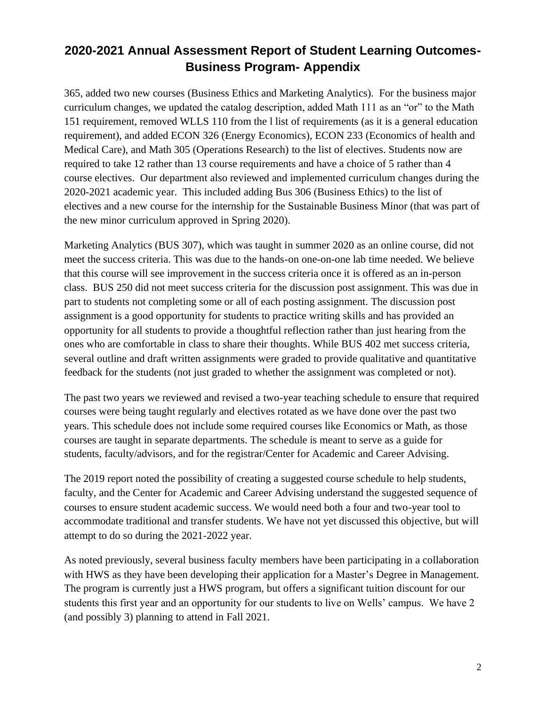365, added two new courses (Business Ethics and Marketing Analytics). For the business major curriculum changes, we updated the catalog description, added Math 111 as an "or" to the Math 151 requirement, removed WLLS 110 from the l list of requirements (as it is a general education requirement), and added ECON 326 (Energy Economics), ECON 233 (Economics of health and Medical Care), and Math 305 (Operations Research) to the list of electives. Students now are required to take 12 rather than 13 course requirements and have a choice of 5 rather than 4 course electives. Our department also reviewed and implemented curriculum changes during the 2020-2021 academic year. This included adding Bus 306 (Business Ethics) to the list of electives and a new course for the internship for the Sustainable Business Minor (that was part of the new minor curriculum approved in Spring 2020).

Marketing Analytics (BUS 307), which was taught in summer 2020 as an online course, did not meet the success criteria. This was due to the hands-on one-on-one lab time needed. We believe that this course will see improvement in the success criteria once it is offered as an in-person class. BUS 250 did not meet success criteria for the discussion post assignment. This was due in part to students not completing some or all of each posting assignment. The discussion post assignment is a good opportunity for students to practice writing skills and has provided an opportunity for all students to provide a thoughtful reflection rather than just hearing from the ones who are comfortable in class to share their thoughts. While BUS 402 met success criteria, several outline and draft written assignments were graded to provide qualitative and quantitative feedback for the students (not just graded to whether the assignment was completed or not).

The past two years we reviewed and revised a two-year teaching schedule to ensure that required courses were being taught regularly and electives rotated as we have done over the past two years. This schedule does not include some required courses like Economics or Math, as those courses are taught in separate departments. The schedule is meant to serve as a guide for students, faculty/advisors, and for the registrar/Center for Academic and Career Advising.

The 2019 report noted the possibility of creating a suggested course schedule to help students, faculty, and the Center for Academic and Career Advising understand the suggested sequence of courses to ensure student academic success. We would need both a four and two-year tool to accommodate traditional and transfer students. We have not yet discussed this objective, but will attempt to do so during the 2021-2022 year.

As noted previously, several business faculty members have been participating in a collaboration with HWS as they have been developing their application for a Master's Degree in Management. The program is currently just a HWS program, but offers a significant tuition discount for our students this first year and an opportunity for our students to live on Wells' campus. We have 2 (and possibly 3) planning to attend in Fall 2021.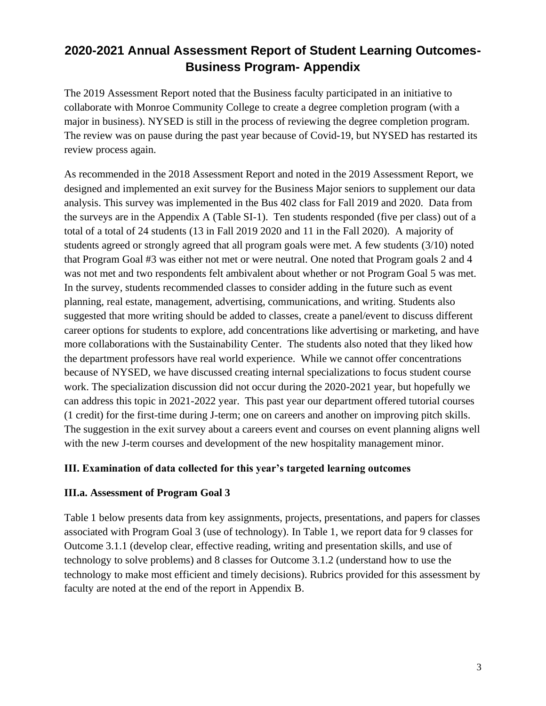The 2019 Assessment Report noted that the Business faculty participated in an initiative to collaborate with Monroe Community College to create a degree completion program (with a major in business). NYSED is still in the process of reviewing the degree completion program. The review was on pause during the past year because of Covid-19, but NYSED has restarted its review process again.

As recommended in the 2018 Assessment Report and noted in the 2019 Assessment Report, we designed and implemented an exit survey for the Business Major seniors to supplement our data analysis. This survey was implemented in the Bus 402 class for Fall 2019 and 2020. Data from the surveys are in the Appendix A (Table SI-1). Ten students responded (five per class) out of a total of a total of 24 students (13 in Fall 2019 2020 and 11 in the Fall 2020). A majority of students agreed or strongly agreed that all program goals were met. A few students (3/10) noted that Program Goal #3 was either not met or were neutral. One noted that Program goals 2 and 4 was not met and two respondents felt ambivalent about whether or not Program Goal 5 was met. In the survey, students recommended classes to consider adding in the future such as event planning, real estate, management, advertising, communications, and writing. Students also suggested that more writing should be added to classes, create a panel/event to discuss different career options for students to explore, add concentrations like advertising or marketing, and have more collaborations with the Sustainability Center. The students also noted that they liked how the department professors have real world experience. While we cannot offer concentrations because of NYSED, we have discussed creating internal specializations to focus student course work. The specialization discussion did not occur during the 2020-2021 year, but hopefully we can address this topic in 2021-2022 year. This past year our department offered tutorial courses (1 credit) for the first-time during J-term; one on careers and another on improving pitch skills. The suggestion in the exit survey about a careers event and courses on event planning aligns well with the new J-term courses and development of the new hospitality management minor.

### **III. Examination of data collected for this year's targeted learning outcomes**

### **III.a. Assessment of Program Goal 3**

Table 1 below presents data from key assignments, projects, presentations, and papers for classes associated with Program Goal 3 (use of technology). In Table 1, we report data for 9 classes for Outcome 3.1.1 (develop clear, effective reading, writing and presentation skills, and use of technology to solve problems) and 8 classes for Outcome 3.1.2 (understand how to use the technology to make most efficient and timely decisions). Rubrics provided for this assessment by faculty are noted at the end of the report in Appendix B.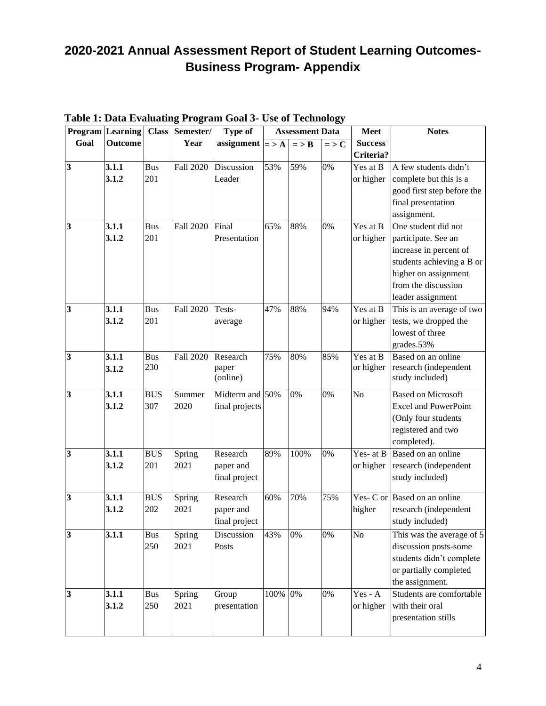|                         | <b>Program</b> Learning |            | Class Semester/  | <b>Type of</b>    |         | <b>Assessment Data</b> |               | <b>Meet</b>            | <b>Notes</b>                             |
|-------------------------|-------------------------|------------|------------------|-------------------|---------|------------------------|---------------|------------------------|------------------------------------------|
| Goal                    | <b>Outcome</b>          |            | Year             | assignment        | $=$ > A | $=$ > B                | $=$ > $\bf C$ | <b>Success</b>         |                                          |
|                         |                         |            |                  |                   |         |                        |               | Criteria?              |                                          |
| 3                       | 3.1.1                   | <b>Bus</b> | <b>Fall 2020</b> | Discussion        | 53%     | 59%                    | 0%            | Yes at B               | A few students didn't                    |
|                         | 3.1.2                   | 201        |                  | Leader            |         |                        |               | or higher              | complete but this is a                   |
|                         |                         |            |                  |                   |         |                        |               |                        | good first step before the               |
|                         |                         |            |                  |                   |         |                        |               |                        | final presentation                       |
|                         |                         |            |                  |                   |         |                        |               |                        | assignment.                              |
| $\overline{\mathbf{3}}$ | 3.1.1                   | <b>Bus</b> | <b>Fall 2020</b> | Final             | 65%     | 88%                    | 0%            | $\overline{Y}$ es at B | One student did not                      |
|                         | 3.1.2                   | 201        |                  | Presentation      |         |                        |               | or higher              | participate. See an                      |
|                         |                         |            |                  |                   |         |                        |               |                        | increase in percent of                   |
|                         |                         |            |                  |                   |         |                        |               |                        | students achieving a B or                |
|                         |                         |            |                  |                   |         |                        |               |                        | higher on assignment                     |
|                         |                         |            |                  |                   |         |                        |               |                        | from the discussion                      |
|                         |                         |            |                  |                   |         |                        |               |                        | leader assignment                        |
| $\overline{\mathbf{3}}$ | 3.1.1                   | <b>Bus</b> | <b>Fall 2020</b> | Tests-            | 47%     | 88%                    | 94%           | Yes at B               | This is an average of two                |
|                         | 3.1.2                   | 201        |                  | average           |         |                        |               | or higher              | tests, we dropped the                    |
|                         |                         |            |                  |                   |         |                        |               |                        | lowest of three                          |
|                         |                         |            |                  |                   |         |                        |               |                        | grades.53%                               |
| $\overline{\mathbf{3}}$ | 3.1.1                   | <b>Bus</b> | <b>Fall 2020</b> | Research          | 75%     | 80%                    | 85%           | Yes at B               | Based on an online                       |
|                         | 3.1.2                   | 230        |                  | paper<br>(online) |         |                        |               | or higher              | research (independent<br>study included) |
|                         |                         |            |                  |                   |         |                        |               |                        |                                          |
| 3                       | 3.1.1                   | <b>BUS</b> | Summer           | Midterm and 50%   |         | 0%                     | 0%            | N <sub>o</sub>         | <b>Based on Microsoft</b>                |
|                         | 3.1.2                   | 307        | 2020             | final projects    |         |                        |               |                        | <b>Excel and PowerPoint</b>              |
|                         |                         |            |                  |                   |         |                        |               |                        | (Only four students                      |
|                         |                         |            |                  |                   |         |                        |               |                        | registered and two                       |
|                         |                         |            |                  |                   |         |                        |               |                        | completed).                              |
| $\overline{\mathbf{3}}$ | 3.1.1                   | <b>BUS</b> | Spring           | Research          | 89%     | 100%                   | 0%            | Yes- at B              | Based on an online                       |
|                         | 3.1.2                   | 201        | 2021             | paper and         |         |                        |               | or higher              | research (independent                    |
|                         |                         |            |                  | final project     |         |                        |               |                        | study included)                          |
| 3                       | 3.1.1                   | <b>BUS</b> | Spring           | Research          | 60%     | 70%                    | 75%           |                        | Yes- C or Based on an online             |
|                         | 3.1.2                   | 202        | 2021             | paper and         |         |                        |               | higher                 | research (independent                    |
|                         |                         |            |                  | final project     |         |                        |               |                        | study included)                          |
| 3                       | 3.1.1                   | <b>Bus</b> | Spring           | Discussion        | 43%     | 0%                     | 0%            | N <sub>o</sub>         | This was the average of 5                |
|                         |                         | 250        | 2021             | Posts             |         |                        |               |                        | discussion posts-some                    |
|                         |                         |            |                  |                   |         |                        |               |                        | students didn't complete                 |
|                         |                         |            |                  |                   |         |                        |               |                        | or partially completed                   |
|                         |                         |            |                  |                   |         |                        |               |                        | the assignment.                          |
| $\overline{\mathbf{3}}$ | 3.1.1                   | <b>Bus</b> | Spring           | Group             | 100%    | 0%                     | 0%            | $Yes - A$              | Students are comfortable                 |
|                         | 3.1.2                   | 250        | 2021             | presentation      |         |                        |               | or higher              | with their oral                          |
|                         |                         |            |                  |                   |         |                        |               |                        | presentation stills                      |
|                         |                         |            |                  |                   |         |                        |               |                        |                                          |

### **Table 1: Data Evaluating Program Goal 3- Use of Technology**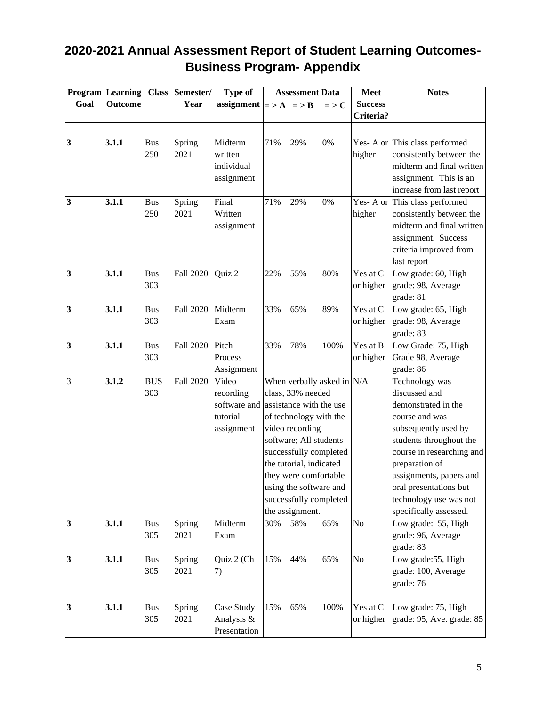|                         | <b>Program</b> Learning |            | Class Semester/  | Type of                              |              | <b>Assessment Data</b>                           |           | <b>Meet</b>            | <b>Notes</b>                                     |
|-------------------------|-------------------------|------------|------------------|--------------------------------------|--------------|--------------------------------------------------|-----------|------------------------|--------------------------------------------------|
| Goal                    | Outcome                 |            | Year             | assignment                           | $\mathbf{a}$ | $=$ > $\bf{B}$                                   | $=$ > $C$ | <b>Success</b>         |                                                  |
|                         |                         |            |                  |                                      |              |                                                  |           | Criteria?              |                                                  |
|                         |                         |            |                  |                                      |              |                                                  |           |                        |                                                  |
| 3                       | 3.1.1                   | <b>Bus</b> | Spring           | Midterm                              | 71%          | 29%                                              | 0%        |                        | Yes- A or This class performed                   |
|                         |                         | 250        | 2021             | written                              |              |                                                  |           | higher                 | consistently between the                         |
|                         |                         |            |                  | individual                           |              |                                                  |           |                        | midterm and final written                        |
|                         |                         |            |                  | assignment                           |              |                                                  |           |                        | assignment. This is an                           |
|                         |                         |            |                  |                                      |              |                                                  |           |                        | increase from last report                        |
| $\overline{\mathbf{3}}$ | 3.1.1                   | <b>Bus</b> | Spring           | Final                                | 71%          | 29%                                              | 0%        |                        | Yes- A or This class performed                   |
|                         |                         | 250        | 2021             | Written                              |              |                                                  |           | higher                 | consistently between the                         |
|                         |                         |            |                  | assignment                           |              |                                                  |           |                        | midterm and final written                        |
|                         |                         |            |                  |                                      |              |                                                  |           |                        | assignment. Success                              |
|                         |                         |            |                  |                                      |              |                                                  |           |                        | criteria improved from                           |
|                         |                         |            |                  |                                      |              |                                                  |           |                        | last report                                      |
| $\overline{\mathbf{3}}$ | 3.1.1                   | <b>Bus</b> | <b>Fall 2020</b> | Quiz 2                               | 22%          | 55%                                              | 80%       | Yes at C               | Low grade: 60, High                              |
|                         |                         | 303        |                  |                                      |              |                                                  |           | or higher              | grade: 98, Average                               |
|                         |                         |            |                  |                                      |              |                                                  |           |                        | grade: 81                                        |
| $\overline{\mathbf{3}}$ | 3.1.1                   | <b>Bus</b> | <b>Fall 2020</b> | Midterm                              | 33%          | 65%                                              | 89%       | Yes at C               | Low grade: 65, High                              |
|                         |                         | 303        |                  | Exam                                 |              |                                                  |           | or higher              | grade: 98, Average                               |
|                         |                         |            |                  |                                      |              |                                                  |           |                        | grade: 83                                        |
| 3                       | 3.1.1                   | <b>Bus</b> | <b>Fall 2020</b> | Pitch                                | 33%          | 78%                                              | 100%      | $\overline{Y}$ es at B | Low Grade: 75, High                              |
|                         |                         | 303        |                  | Process                              |              |                                                  |           | or higher              | Grade 98, Average                                |
|                         |                         |            |                  | Assignment                           |              |                                                  |           |                        | grade: 86                                        |
| 3                       | 3.1.2                   | <b>BUS</b> | <b>Fall 2020</b> | Video                                |              | When verbally asked in $N/A$                     |           |                        | Technology was                                   |
|                         |                         | 303        |                  | recording                            |              | class, 33% needed                                |           |                        | discussed and                                    |
|                         |                         |            |                  | software and assistance with the use |              |                                                  |           |                        | demonstrated in the                              |
|                         |                         |            |                  | tutorial                             |              | of technology with the                           |           |                        | course and was                                   |
|                         |                         |            |                  | assignment                           |              | video recording                                  |           |                        | subsequently used by                             |
|                         |                         |            |                  |                                      |              | software; All students                           |           |                        | students throughout the                          |
|                         |                         |            |                  |                                      |              | successfully completed                           |           |                        | course in researching and                        |
|                         |                         |            |                  |                                      |              | the tutorial, indicated                          |           |                        | preparation of                                   |
|                         |                         |            |                  |                                      |              | they were comfortable                            |           |                        | assignments, papers and                          |
|                         |                         |            |                  |                                      |              | using the software and<br>successfully completed |           |                        | oral presentations but<br>technology use was not |
|                         |                         |            |                  |                                      |              | the assignment.                                  |           |                        | specifically assessed.                           |
| $\overline{\mathbf{3}}$ | 3.1.1                   | <b>Bus</b> | Spring           | Midterm                              | 30%          | 58%                                              | 65%       | No                     | Low grade: 55, High                              |
|                         |                         | 305        | 2021             | Exam                                 |              |                                                  |           |                        | grade: 96, Average                               |
|                         |                         |            |                  |                                      |              |                                                  |           |                        | grade: 83                                        |
| $\overline{\mathbf{3}}$ | 3.1.1                   | <b>Bus</b> | Spring           | Quiz 2 (Ch                           | 15%          | 44%                                              | 65%       | N <sub>0</sub>         | Low grade:55, High                               |
|                         |                         | 305        | 2021             | 7)                                   |              |                                                  |           |                        | grade: 100, Average                              |
|                         |                         |            |                  |                                      |              |                                                  |           |                        | grade: 76                                        |
|                         |                         |            |                  |                                      |              |                                                  |           |                        |                                                  |
| $\overline{\mathbf{3}}$ | 3.1.1                   | <b>Bus</b> | Spring           | Case Study                           | 15%          | 65%                                              | 100%      | Yes at C               | Low grade: 75, High                              |
|                         |                         | 305        | 2021             | Analysis &                           |              |                                                  |           | or higher              | grade: 95, Ave. grade: 85                        |
|                         |                         |            |                  | Presentation                         |              |                                                  |           |                        |                                                  |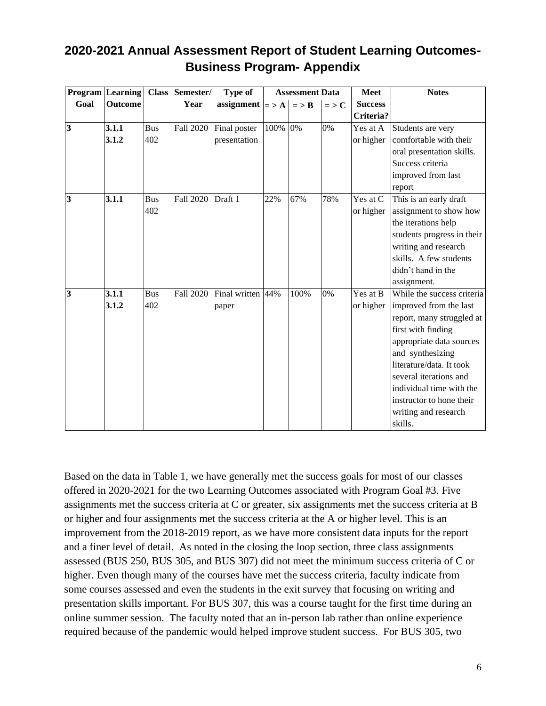| 2020-2021 Annual Assessment Report of Student Learning Outcomes- |  |
|------------------------------------------------------------------|--|
| <b>Business Program- Appendix</b>                                |  |

|                         | Program Learning |            | Class Semester/  | <b>Type of</b>           |         | <b>Assessment Data</b> |           | <b>Meet</b>    | <b>Notes</b>               |
|-------------------------|------------------|------------|------------------|--------------------------|---------|------------------------|-----------|----------------|----------------------------|
| Goal                    | <b>Outcome</b>   |            | Year             | assignment $ =\rangle$ A |         | $=$ > $\bf{B}$         | $=$ > $C$ | <b>Success</b> |                            |
|                         |                  |            |                  |                          |         |                        |           | Criteria?      |                            |
| $\overline{\mathbf{3}}$ | 3.1.1            | <b>Bus</b> | <b>Fall 2020</b> | Final poster             | 100% 0% |                        | 0%        | Yes at A       | Students are very          |
|                         | 3.1.2            | 402        |                  | presentation             |         |                        |           | or higher      | comfortable with their     |
|                         |                  |            |                  |                          |         |                        |           |                | oral presentation skills.  |
|                         |                  |            |                  |                          |         |                        |           |                | Success criteria           |
|                         |                  |            |                  |                          |         |                        |           |                | improved from last         |
|                         |                  |            |                  |                          |         |                        |           |                | report                     |
| $\overline{\mathbf{3}}$ | 3.1.1            | <b>Bus</b> | <b>Fall 2020</b> | Draft 1                  | 22%     | 67%                    | 78%       | Yes at C       | This is an early draft     |
|                         |                  | 402        |                  |                          |         |                        |           | or higher      | assignment to show how     |
|                         |                  |            |                  |                          |         |                        |           |                | the iterations help        |
|                         |                  |            |                  |                          |         |                        |           |                | students progress in their |
|                         |                  |            |                  |                          |         |                        |           |                | writing and research       |
|                         |                  |            |                  |                          |         |                        |           |                | skills. A few students     |
|                         |                  |            |                  |                          |         |                        |           |                | didn't hand in the         |
|                         |                  |            |                  |                          |         |                        |           |                | assignment.                |
| $\overline{\mathbf{3}}$ | 3.1.1            | <b>Bus</b> | <b>Fall 2020</b> | Final written 44%        |         | 100%                   | 0%        | Yes at B       | While the success criteria |
|                         | 3.1.2            | 402        |                  | paper                    |         |                        |           | or higher      | improved from the last     |
|                         |                  |            |                  |                          |         |                        |           |                | report, many struggled at  |
|                         |                  |            |                  |                          |         |                        |           |                | first with finding         |
|                         |                  |            |                  |                          |         |                        |           |                | appropriate data sources   |
|                         |                  |            |                  |                          |         |                        |           |                | and synthesizing           |
|                         |                  |            |                  |                          |         |                        |           |                | literature/data. It took   |
|                         |                  |            |                  |                          |         |                        |           |                | several iterations and     |
|                         |                  |            |                  |                          |         |                        |           |                | individual time with the   |
|                         |                  |            |                  |                          |         |                        |           |                | instructor to hone their   |
|                         |                  |            |                  |                          |         |                        |           |                | writing and research       |
|                         |                  |            |                  |                          |         |                        |           |                | skills.                    |

Based on the data in Table 1, we have generally met the success goals for most of our classes offered in 2020-2021 for the two Learning Outcomes associated with Program Goal #3. Five assignments met the success criteria at C or greater, six assignments met the success criteria at B or higher and four assignments met the success criteria at the A or higher level. This is an improvement from the 2018-2019 report, as we have more consistent data inputs for the report and a finer level of detail. As noted in the closing the loop section, three class assignments assessed (BUS 250, BUS 305, and BUS 307) did not meet the minimum success criteria of C or higher. Even though many of the courses have met the success criteria, faculty indicate from some courses assessed and even the students in the exit survey that focusing on writing and presentation skills important. For BUS 307, this was a course taught for the first time during an online summer session. The faculty noted that an in-person lab rather than online experience required because of the pandemic would helped improve student success. For BUS 305, two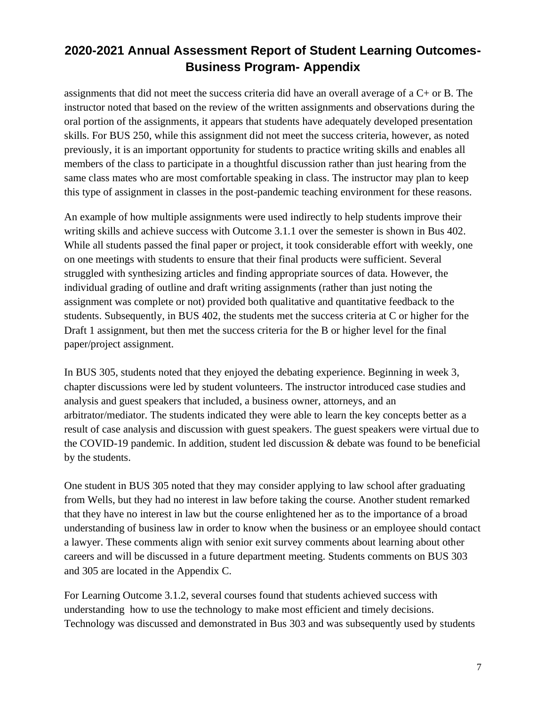assignments that did not meet the success criteria did have an overall average of a C+ or B. The instructor noted that based on the review of the written assignments and observations during the oral portion of the assignments, it appears that students have adequately developed presentation skills. For BUS 250, while this assignment did not meet the success criteria, however, as noted previously, it is an important opportunity for students to practice writing skills and enables all members of the class to participate in a thoughtful discussion rather than just hearing from the same class mates who are most comfortable speaking in class. The instructor may plan to keep this type of assignment in classes in the post-pandemic teaching environment for these reasons.

An example of how multiple assignments were used indirectly to help students improve their writing skills and achieve success with Outcome 3.1.1 over the semester is shown in Bus 402. While all students passed the final paper or project, it took considerable effort with weekly, one on one meetings with students to ensure that their final products were sufficient. Several struggled with synthesizing articles and finding appropriate sources of data. However, the individual grading of outline and draft writing assignments (rather than just noting the assignment was complete or not) provided both qualitative and quantitative feedback to the students. Subsequently, in BUS 402, the students met the success criteria at C or higher for the Draft 1 assignment, but then met the success criteria for the B or higher level for the final paper/project assignment.

In BUS 305, students noted that they enjoyed the debating experience. Beginning in week 3, chapter discussions were led by student volunteers. The instructor introduced case studies and analysis and guest speakers that included, a business owner, attorneys, and an arbitrator/mediator. The students indicated they were able to learn the key concepts better as a result of case analysis and discussion with guest speakers. The guest speakers were virtual due to the COVID-19 pandemic. In addition, student led discussion & debate was found to be beneficial by the students.

One student in BUS 305 noted that they may consider applying to law school after graduating from Wells, but they had no interest in law before taking the course. Another student remarked that they have no interest in law but the course enlightened her as to the importance of a broad understanding of business law in order to know when the business or an employee should contact a lawyer. These comments align with senior exit survey comments about learning about other careers and will be discussed in a future department meeting. Students comments on BUS 303 and 305 are located in the Appendix C.

For Learning Outcome 3.1.2, several courses found that students achieved success with understanding how to use the technology to make most efficient and timely decisions. Technology was discussed and demonstrated in Bus 303 and was subsequently used by students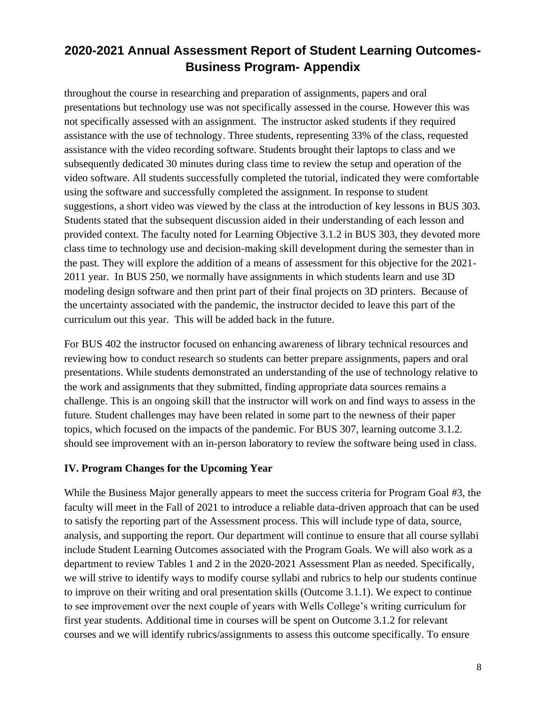throughout the course in researching and preparation of assignments, papers and oral presentations but technology use was not specifically assessed in the course. However this was not specifically assessed with an assignment. The instructor asked students if they required assistance with the use of technology. Three students, representing 33% of the class, requested assistance with the video recording software. Students brought their laptops to class and we subsequently dedicated 30 minutes during class time to review the setup and operation of the video software. All students successfully completed the tutorial, indicated they were comfortable using the software and successfully completed the assignment. In response to student suggestions, a short video was viewed by the class at the introduction of key lessons in BUS 303. Students stated that the subsequent discussion aided in their understanding of each lesson and provided context. The faculty noted for Learning Objective 3.1.2 in BUS 303, they devoted more class time to technology use and decision-making skill development during the semester than in the past. They will explore the addition of a means of assessment for this objective for the 2021- 2011 year. In BUS 250, we normally have assignments in which students learn and use 3D modeling design software and then print part of their final projects on 3D printers. Because of the uncertainty associated with the pandemic, the instructor decided to leave this part of the curriculum out this year. This will be added back in the future.

For BUS 402 the instructor focused on enhancing awareness of library technical resources and reviewing how to conduct research so students can better prepare assignments, papers and oral presentations. While students demonstrated an understanding of the use of technology relative to the work and assignments that they submitted, finding appropriate data sources remains a challenge. This is an ongoing skill that the instructor will work on and find ways to assess in the future. Student challenges may have been related in some part to the newness of their paper topics, which focused on the impacts of the pandemic. For BUS 307, learning outcome 3.1.2. should see improvement with an in-person laboratory to review the software being used in class.

### **IV. Program Changes for the Upcoming Year**

While the Business Major generally appears to meet the success criteria for Program Goal #3, the faculty will meet in the Fall of 2021 to introduce a reliable data-driven approach that can be used to satisfy the reporting part of the Assessment process. This will include type of data, source, analysis, and supporting the report. Our department will continue to ensure that all course syllabi include Student Learning Outcomes associated with the Program Goals. We will also work as a department to review Tables 1 and 2 in the 2020-2021 Assessment Plan as needed. Specifically, we will strive to identify ways to modify course syllabi and rubrics to help our students continue to improve on their writing and oral presentation skills (Outcome 3.1.1). We expect to continue to see improvement over the next couple of years with Wells College's writing curriculum for first year students. Additional time in courses will be spent on Outcome 3.1.2 for relevant courses and we will identify rubrics/assignments to assess this outcome specifically. To ensure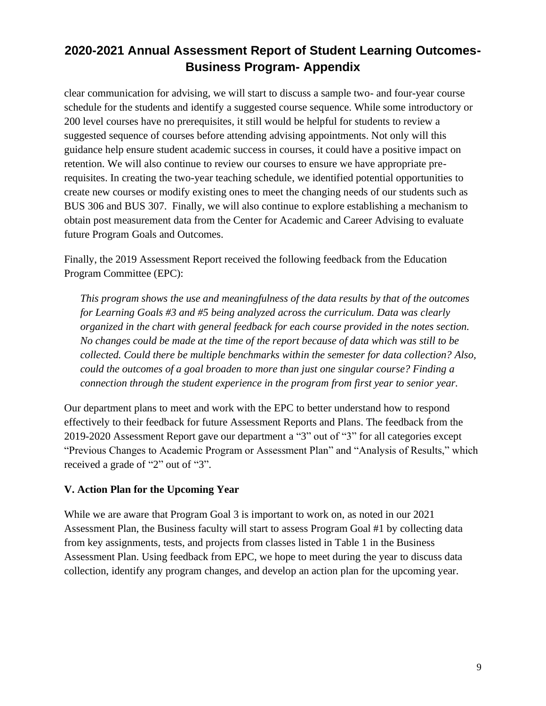clear communication for advising, we will start to discuss a sample two- and four-year course schedule for the students and identify a suggested course sequence. While some introductory or 200 level courses have no prerequisites, it still would be helpful for students to review a suggested sequence of courses before attending advising appointments. Not only will this guidance help ensure student academic success in courses, it could have a positive impact on retention. We will also continue to review our courses to ensure we have appropriate prerequisites. In creating the two-year teaching schedule, we identified potential opportunities to create new courses or modify existing ones to meet the changing needs of our students such as BUS 306 and BUS 307. Finally, we will also continue to explore establishing a mechanism to obtain post measurement data from the Center for Academic and Career Advising to evaluate future Program Goals and Outcomes.

Finally, the 2019 Assessment Report received the following feedback from the Education Program Committee (EPC):

*This program shows the use and meaningfulness of the data results by that of the outcomes for Learning Goals #3 and #5 being analyzed across the curriculum. Data was clearly organized in the chart with general feedback for each course provided in the notes section. No changes could be made at the time of the report because of data which was still to be collected. Could there be multiple benchmarks within the semester for data collection? Also, could the outcomes of a goal broaden to more than just one singular course? Finding a connection through the student experience in the program from first year to senior year.* 

Our department plans to meet and work with the EPC to better understand how to respond effectively to their feedback for future Assessment Reports and Plans. The feedback from the 2019-2020 Assessment Report gave our department a "3" out of "3" for all categories except "Previous Changes to Academic Program or Assessment Plan" and "Analysis of Results," which received a grade of "2" out of "3".

### **V. Action Plan for the Upcoming Year**

While we are aware that Program Goal 3 is important to work on, as noted in our 2021 Assessment Plan, the Business faculty will start to assess Program Goal #1 by collecting data from key assignments, tests, and projects from classes listed in Table 1 in the Business Assessment Plan. Using feedback from EPC, we hope to meet during the year to discuss data collection, identify any program changes, and develop an action plan for the upcoming year.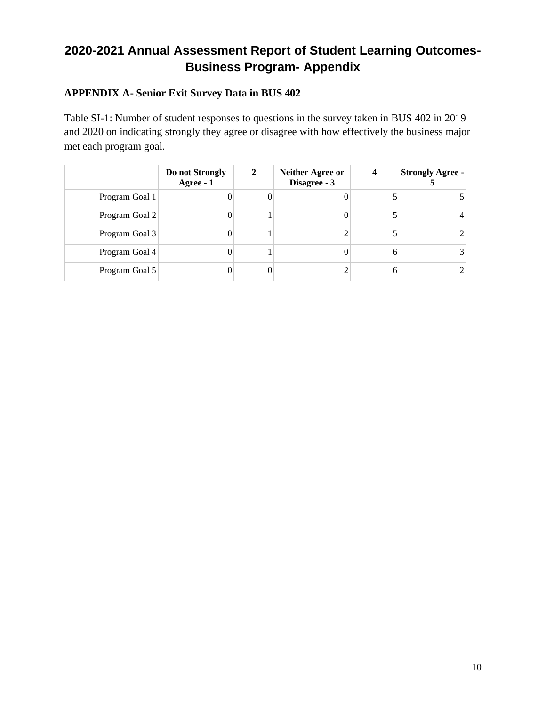### **APPENDIX A- Senior Exit Survey Data in BUS 402**

Table SI-1: Number of student responses to questions in the survey taken in BUS 402 in 2019 and 2020 on indicating strongly they agree or disagree with how effectively the business major met each program goal.

|                | Do not Strongly<br>Agree - 1 | 2 | <b>Neither Agree or</b><br>Disagree - 3 | 4 | <b>Strongly Agree -</b> |
|----------------|------------------------------|---|-----------------------------------------|---|-------------------------|
| Program Goal 1 |                              | 0 |                                         |   |                         |
| Program Goal 2 | 0                            |   |                                         |   |                         |
| Program Goal 3 | 0                            |   |                                         |   |                         |
| Program Goal 4 |                              |   |                                         |   |                         |
| Program Goal 5 |                              | 0 |                                         | h |                         |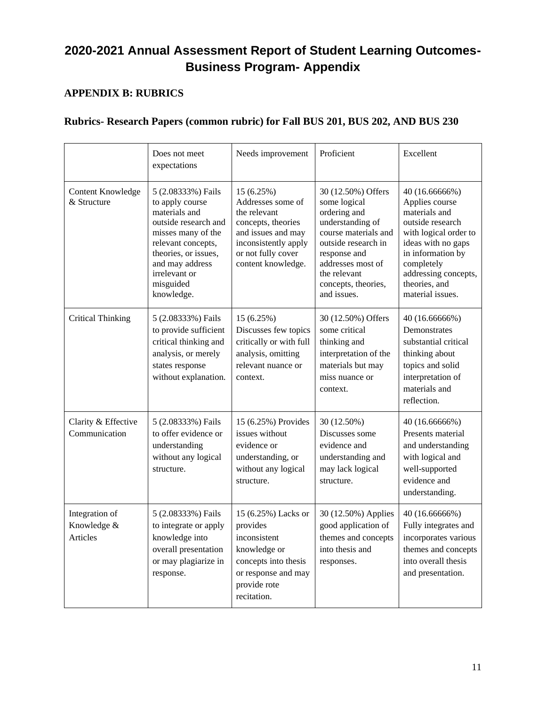### **APPENDIX B: RUBRICS**

### **Rubrics- Research Papers (common rubric) for Fall BUS 201, BUS 202, AND BUS 230**

|                                           | Does not meet<br>expectations                                                                                                                                                                                     | Needs improvement                                                                                                                                               | Proficient                                                                                                                                                                                                       | Excellent                                                                                                                                                                                                            |
|-------------------------------------------|-------------------------------------------------------------------------------------------------------------------------------------------------------------------------------------------------------------------|-----------------------------------------------------------------------------------------------------------------------------------------------------------------|------------------------------------------------------------------------------------------------------------------------------------------------------------------------------------------------------------------|----------------------------------------------------------------------------------------------------------------------------------------------------------------------------------------------------------------------|
| <b>Content Knowledge</b><br>& Structure   | 5 (2.08333%) Fails<br>to apply course<br>materials and<br>outside research and<br>misses many of the<br>relevant concepts,<br>theories, or issues,<br>and may address<br>irrelevant or<br>misguided<br>knowledge. | 15 (6.25%)<br>Addresses some of<br>the relevant<br>concepts, theories<br>and issues and may<br>inconsistently apply<br>or not fully cover<br>content knowledge. | 30 (12.50%) Offers<br>some logical<br>ordering and<br>understanding of<br>course materials and<br>outside research in<br>response and<br>addresses most of<br>the relevant<br>concepts, theories,<br>and issues. | 40 (16.66666%)<br>Applies course<br>materials and<br>outside research<br>with logical order to<br>ideas with no gaps<br>in information by<br>completely<br>addressing concepts,<br>theories, and<br>material issues. |
| <b>Critical Thinking</b>                  | 5 (2.08333%) Fails<br>to provide sufficient<br>critical thinking and<br>analysis, or merely<br>states response<br>without explanation.                                                                            | 15 (6.25%)<br>Discusses few topics<br>critically or with full<br>analysis, omitting<br>relevant nuance or<br>context.                                           | 30 (12.50%) Offers<br>some critical<br>thinking and<br>interpretation of the<br>materials but may<br>miss nuance or<br>context.                                                                                  | 40 (16.66666%)<br>Demonstrates<br>substantial critical<br>thinking about<br>topics and solid<br>interpretation of<br>materials and<br>reflection.                                                                    |
| Clarity & Effective<br>Communication      | 5 (2.08333%) Fails<br>to offer evidence or<br>understanding<br>without any logical<br>structure.                                                                                                                  | 15 (6.25%) Provides<br>issues without<br>evidence or<br>understanding, or<br>without any logical<br>structure.                                                  | 30 (12.50%)<br>Discusses some<br>evidence and<br>understanding and<br>may lack logical<br>structure.                                                                                                             | 40 (16.66666%)<br>Presents material<br>and understanding<br>with logical and<br>well-supported<br>evidence and<br>understanding.                                                                                     |
| Integration of<br>Knowledge &<br>Articles | 5 (2.08333%) Fails<br>to integrate or apply<br>knowledge into<br>overall presentation<br>or may plagiarize in<br>response.                                                                                        | 15 (6.25%) Lacks or<br>provides<br>inconsistent<br>knowledge or<br>concepts into thesis<br>or response and may<br>provide rote<br>recitation.                   | 30 (12.50%) Applies<br>good application of<br>themes and concepts<br>into thesis and<br>responses.                                                                                                               | 40 (16.66666%)<br>Fully integrates and<br>incorporates various<br>themes and concepts<br>into overall thesis<br>and presentation.                                                                                    |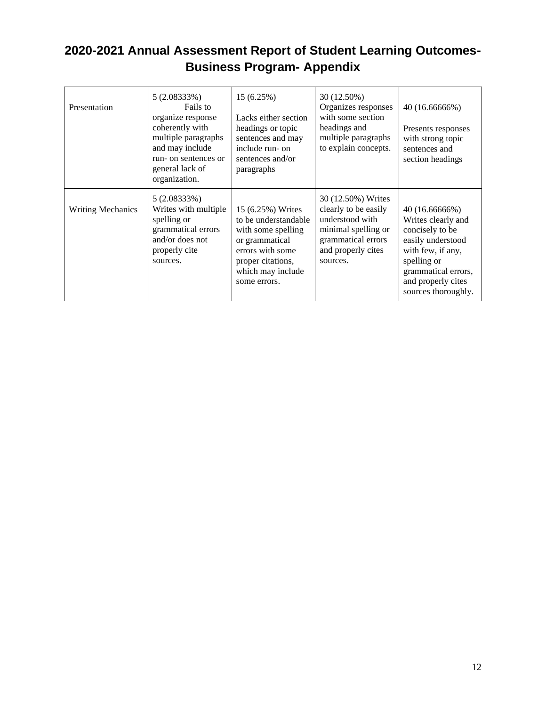| Presentation             | $5(2.08333\%)$<br>Fails to<br>organize response<br>coherently with<br>multiple paragraphs<br>and may include<br>run- on sentences or<br>general lack of<br>organization. | 15(6.25%)<br>Lacks either section<br>headings or topic<br>sentences and may<br>include run- on<br>sentences and/or<br>paragraphs                                | 30 (12.50%)<br>Organizes responses<br>with some section<br>headings and<br>multiple paragraphs<br>to explain concepts.                       | 40 (16.66666%)<br>Presents responses<br>with strong topic<br>sentences and<br>section headings                                                                                       |
|--------------------------|--------------------------------------------------------------------------------------------------------------------------------------------------------------------------|-----------------------------------------------------------------------------------------------------------------------------------------------------------------|----------------------------------------------------------------------------------------------------------------------------------------------|--------------------------------------------------------------------------------------------------------------------------------------------------------------------------------------|
| <b>Writing Mechanics</b> | $5(2.08333\%)$<br>Writes with multiple<br>spelling or<br>grammatical errors<br>and/or does not<br>properly cite<br>sources.                                              | 15 (6.25%) Writes<br>to be understandable<br>with some spelling<br>or grammatical<br>errors with some<br>proper citations,<br>which may include<br>some errors. | 30 (12.50%) Writes<br>clearly to be easily<br>understood with<br>minimal spelling or<br>grammatical errors<br>and properly cites<br>sources. | 40 (16.66666%)<br>Writes clearly and<br>concisely to be<br>easily understood<br>with few, if any,<br>spelling or<br>grammatical errors,<br>and properly cites<br>sources thoroughly. |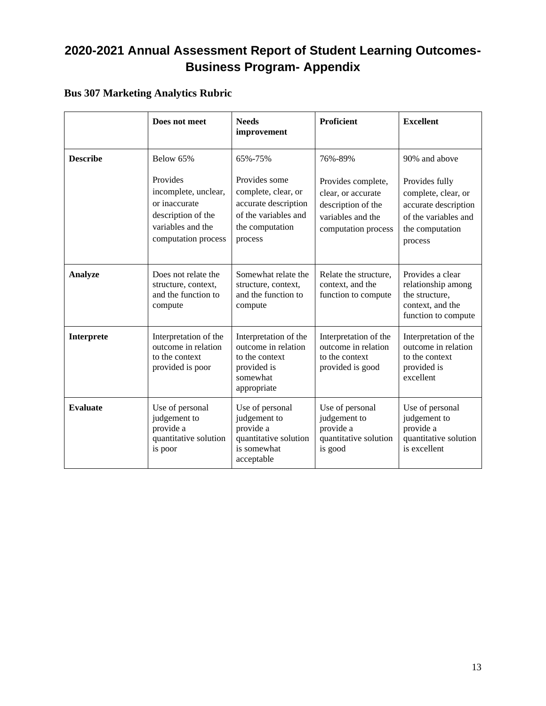## **Bus 307 Marketing Analytics Rubric**

|                 | Does not meet                                                                                                       | <b>Needs</b><br>improvement                                                                                        | Proficient                                                                                                 | <b>Excellent</b>                                                                                                    |
|-----------------|---------------------------------------------------------------------------------------------------------------------|--------------------------------------------------------------------------------------------------------------------|------------------------------------------------------------------------------------------------------------|---------------------------------------------------------------------------------------------------------------------|
| <b>Describe</b> | Below 65%                                                                                                           | 65%-75%                                                                                                            | 76%-89%                                                                                                    | 90% and above                                                                                                       |
|                 | Provides<br>incomplete, unclear,<br>or inaccurate<br>description of the<br>variables and the<br>computation process | Provides some<br>complete, clear, or<br>accurate description<br>of the variables and<br>the computation<br>process | Provides complete,<br>clear, or accurate<br>description of the<br>variables and the<br>computation process | Provides fully<br>complete, clear, or<br>accurate description<br>of the variables and<br>the computation<br>process |
| <b>Analyze</b>  | Does not relate the<br>structure, context,<br>and the function to<br>compute                                        | Somewhat relate the<br>structure, context,<br>and the function to<br>compute                                       | Relate the structure,<br>context, and the<br>function to compute                                           | Provides a clear<br>relationship among<br>the structure,<br>context, and the<br>function to compute                 |
| Interprete      | Interpretation of the<br>outcome in relation<br>to the context<br>provided is poor                                  | Interpretation of the<br>outcome in relation<br>to the context<br>provided is<br>somewhat<br>appropriate           | Interpretation of the<br>outcome in relation<br>to the context<br>provided is good                         | Interpretation of the<br>outcome in relation<br>to the context<br>provided is<br>excellent                          |
| <b>Evaluate</b> | Use of personal<br>judgement to<br>provide a<br>quantitative solution<br>is poor                                    | Use of personal<br>judgement to<br>provide a<br>quantitative solution<br>is somewhat<br>acceptable                 | Use of personal<br>judgement to<br>provide a<br>quantitative solution<br>is good                           | Use of personal<br>judgement to<br>provide a<br>quantitative solution<br>is excellent                               |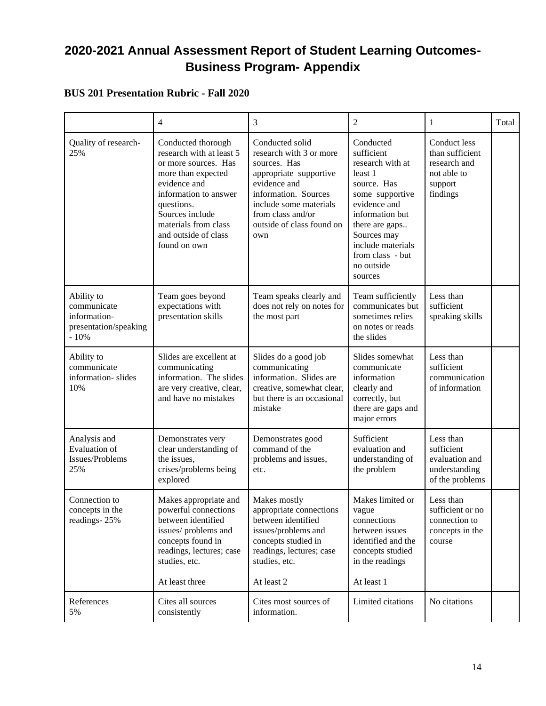### **BUS 201 Presentation Rubric - Fall 2020**

|                                                                              | $\overline{4}$                                                                                                                                                                                                                         | 3                                                                                                                                                                                                               | $\overline{2}$                                                                                                                                                                                                                 | 1                                                                                     | Total |
|------------------------------------------------------------------------------|----------------------------------------------------------------------------------------------------------------------------------------------------------------------------------------------------------------------------------------|-----------------------------------------------------------------------------------------------------------------------------------------------------------------------------------------------------------------|--------------------------------------------------------------------------------------------------------------------------------------------------------------------------------------------------------------------------------|---------------------------------------------------------------------------------------|-------|
| Quality of research-<br>25%                                                  | Conducted thorough<br>research with at least 5<br>or more sources. Has<br>more than expected<br>evidence and<br>information to answer<br>questions.<br>Sources include<br>materials from class<br>and outside of class<br>found on own | Conducted solid<br>research with 3 or more<br>sources. Has<br>appropriate supportive<br>evidence and<br>information. Sources<br>include some materials<br>from class and/or<br>outside of class found on<br>own | Conducted<br>sufficient<br>research with at<br>least 1<br>source. Has<br>some supportive<br>evidence and<br>information but<br>there are gaps<br>Sources may<br>include materials<br>from class - but<br>no outside<br>sources | Conduct less<br>than sufficient<br>research and<br>not able to<br>support<br>findings |       |
| Ability to<br>communicate<br>information-<br>presentation/speaking<br>$-10%$ | Team goes beyond<br>expectations with<br>presentation skills                                                                                                                                                                           | Team speaks clearly and<br>does not rely on notes for<br>the most part                                                                                                                                          | Team sufficiently<br>communicates but<br>sometimes relies<br>on notes or reads<br>the slides                                                                                                                                   | Less than<br>sufficient<br>speaking skills                                            |       |
| Ability to<br>communicate<br>information-slides<br>10%                       | Slides are excellent at<br>communicating<br>information. The slides<br>are very creative, clear,<br>and have no mistakes                                                                                                               | Slides do a good job<br>communicating<br>information. Slides are<br>creative, somewhat clear,<br>but there is an occasional<br>mistake                                                                          | Slides somewhat<br>communicate<br>information<br>clearly and<br>correctly, but<br>there are gaps and<br>major errors                                                                                                           | Less than<br>sufficient<br>communication<br>of information                            |       |
| Analysis and<br><b>Evaluation</b> of<br>Issues/Problems<br>25%               | Demonstrates very<br>clear understanding of<br>the issues,<br>crises/problems being<br>explored                                                                                                                                        | Demonstrates good<br>command of the<br>problems and issues,<br>etc.                                                                                                                                             | Sufficient<br>evaluation and<br>understanding of<br>the problem                                                                                                                                                                | Less than<br>sufficient<br>evaluation and<br>understanding<br>of the problems         |       |
| Connection to<br>concepts in the<br>readings-25%                             | Makes appropriate and<br>powerful connections<br>between identified<br>issues/problems and<br>concepts found in<br>readings, lectures; case<br>studies, etc.<br>At least three                                                         | Makes mostly<br>appropriate connections<br>between identified<br>issues/problems and<br>concepts studied in<br>readings, lectures; case<br>studies, etc.<br>At least 2                                          | Makes limited or<br>vague<br>connections<br>between issues<br>identified and the<br>concepts studied<br>in the readings<br>At least 1                                                                                          | Less than<br>sufficient or no<br>connection to<br>concepts in the<br>course           |       |
| References<br>5%                                                             | Cites all sources<br>consistently                                                                                                                                                                                                      | Cites most sources of<br>information.                                                                                                                                                                           | Limited citations                                                                                                                                                                                                              | No citations                                                                          |       |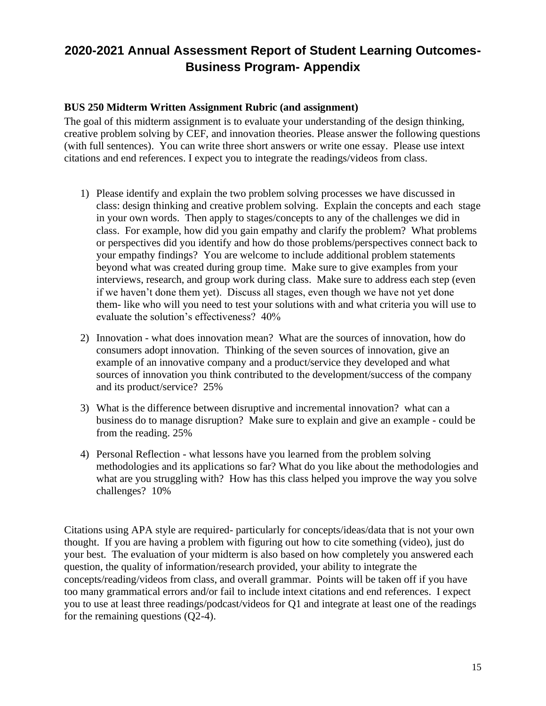#### **BUS 250 Midterm Written Assignment Rubric (and assignment)**

The goal of this midterm assignment is to evaluate your understanding of the design thinking, creative problem solving by CEF, and innovation theories. Please answer the following questions (with full sentences). You can write three short answers or write one essay. Please use intext citations and end references. I expect you to integrate the readings/videos from class.

- 1) Please identify and explain the two problem solving processes we have discussed in class: design thinking and creative problem solving. Explain the concepts and each stage in your own words. Then apply to stages/concepts to any of the challenges we did in class. For example, how did you gain empathy and clarify the problem? What problems or perspectives did you identify and how do those problems/perspectives connect back to your empathy findings? You are welcome to include additional problem statements beyond what was created during group time. Make sure to give examples from your interviews, research, and group work during class. Make sure to address each step (even if we haven't done them yet). Discuss all stages, even though we have not yet done them- like who will you need to test your solutions with and what criteria you will use to evaluate the solution's effectiveness? 40%
- 2) Innovation what does innovation mean? What are the sources of innovation, how do consumers adopt innovation. Thinking of the seven sources of innovation, give an example of an innovative company and a product/service they developed and what sources of innovation you think contributed to the development/success of the company and its product/service? 25%
- 3) What is the difference between disruptive and incremental innovation? what can a business do to manage disruption? Make sure to explain and give an example - could be from the reading. 25%
- 4) Personal Reflection what lessons have you learned from the problem solving methodologies and its applications so far? What do you like about the methodologies and what are you struggling with? How has this class helped you improve the way you solve challenges? 10%

Citations using APA style are required- particularly for concepts/ideas/data that is not your own thought. If you are having a problem with figuring out how to cite something (video), just do your best. The evaluation of your midterm is also based on how completely you answered each question, the quality of information/research provided, your ability to integrate the concepts/reading/videos from class, and overall grammar. Points will be taken off if you have too many grammatical errors and/or fail to include intext citations and end references. I expect you to use at least three readings/podcast/videos for Q1 and integrate at least one of the readings for the remaining questions (Q2-4).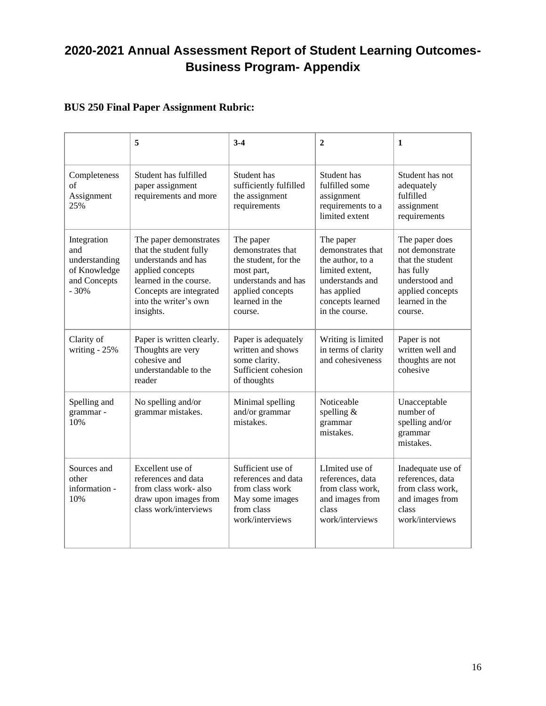### **BUS 250 Final Paper Assignment Rubric:**

|                                                                               | 5                                                                                                                                                                                      | $3-4$                                                                                                                                        | $\mathbf{2}$                                                                                                                                  | 1                                                                                                                                     |
|-------------------------------------------------------------------------------|----------------------------------------------------------------------------------------------------------------------------------------------------------------------------------------|----------------------------------------------------------------------------------------------------------------------------------------------|-----------------------------------------------------------------------------------------------------------------------------------------------|---------------------------------------------------------------------------------------------------------------------------------------|
| Completeness<br>of<br>Assignment<br>25%                                       | Student has fulfilled<br>paper assignment<br>requirements and more                                                                                                                     | Student has<br>sufficiently fulfilled<br>the assignment<br>requirements                                                                      | Student has<br>fulfilled some<br>assignment<br>requirements to a<br>limited extent                                                            | Student has not<br>adequately<br>fulfilled<br>assignment<br>requirements                                                              |
| Integration<br>and<br>understanding<br>of Knowledge<br>and Concepts<br>$-30%$ | The paper demonstrates<br>that the student fully<br>understands and has<br>applied concepts<br>learned in the course.<br>Concepts are integrated<br>into the writer's own<br>insights. | The paper<br>demonstrates that<br>the student, for the<br>most part,<br>understands and has<br>applied concepts<br>learned in the<br>course. | The paper<br>demonstrates that<br>the author, to a<br>limited extent,<br>understands and<br>has applied<br>concepts learned<br>in the course. | The paper does<br>not demonstrate<br>that the student<br>has fully<br>understood and<br>applied concepts<br>learned in the<br>course. |
| Clarity of<br>writing - 25%                                                   | Paper is written clearly.<br>Thoughts are very<br>cohesive and<br>understandable to the<br>reader                                                                                      | Paper is adequately<br>written and shows<br>some clarity.<br>Sufficient cohesion<br>of thoughts                                              | Writing is limited<br>in terms of clarity<br>and cohesiveness                                                                                 | Paper is not<br>written well and<br>thoughts are not<br>cohesive                                                                      |
| Spelling and<br>grammar -<br>10%                                              | No spelling and/or<br>grammar mistakes.                                                                                                                                                | Minimal spelling<br>and/or grammar<br>mistakes.                                                                                              | Noticeable<br>spelling $&$<br>grammar<br>mistakes.                                                                                            | Unacceptable<br>number of<br>spelling and/or<br>grammar<br>mistakes.                                                                  |
| Sources and<br>other<br>information -<br>10%                                  | Excellent use of<br>references and data<br>from class work- also<br>draw upon images from<br>class work/interviews                                                                     | Sufficient use of<br>references and data<br>from class work<br>May some images<br>from class<br>work/interviews                              | LImited use of<br>references, data<br>from class work,<br>and images from<br>class<br>work/interviews                                         | Inadequate use of<br>references, data<br>from class work,<br>and images from<br>class<br>work/interviews                              |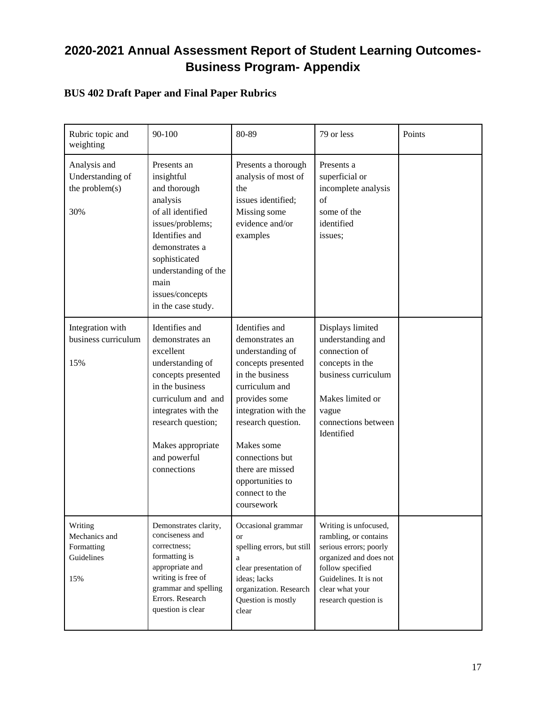## **BUS 402 Draft Paper and Final Paper Rubrics**

| Rubric topic and<br>weighting                               | 90-100                                                                                                                                                                                                                             | 80-89                                                                                                                                                                                                                                                                                    | 79 or less                                                                                                                                                                                 | Points |
|-------------------------------------------------------------|------------------------------------------------------------------------------------------------------------------------------------------------------------------------------------------------------------------------------------|------------------------------------------------------------------------------------------------------------------------------------------------------------------------------------------------------------------------------------------------------------------------------------------|--------------------------------------------------------------------------------------------------------------------------------------------------------------------------------------------|--------|
| Analysis and<br>Understanding of<br>the problem(s)<br>30%   | Presents an<br>insightful<br>and thorough<br>analysis<br>of all identified<br>issues/problems;<br>Identifies and<br>demonstrates a<br>sophisticated<br>understanding of the<br>main<br>issues/concepts<br>in the case study.       | Presents a thorough<br>analysis of most of<br>the<br>issues identified;<br>Missing some<br>evidence and/or<br>examples                                                                                                                                                                   | Presents a<br>superficial or<br>incomplete analysis<br>of<br>some of the<br>identified<br>issues;                                                                                          |        |
| Integration with<br>business curriculum<br>15%              | Identifies and<br>demonstrates an<br>excellent<br>understanding of<br>concepts presented<br>in the business<br>curriculum and and<br>integrates with the<br>research question;<br>Makes appropriate<br>and powerful<br>connections | Identifies and<br>demonstrates an<br>understanding of<br>concepts presented<br>in the business<br>curriculum and<br>provides some<br>integration with the<br>research question.<br>Makes some<br>connections but<br>there are missed<br>opportunities to<br>connect to the<br>coursework | Displays limited<br>understanding and<br>connection of<br>concepts in the<br>business curriculum<br>Makes limited or<br>vague<br>connections between<br>Identified                         |        |
| Writing<br>Mechanics and<br>Formatting<br>Guidelines<br>15% | Demonstrates clarity,<br>conciseness and<br>correctness;<br>formatting is<br>appropriate and<br>writing is free of<br>grammar and spelling<br>Errors. Research<br>question is clear                                                | Occasional grammar<br>or<br>spelling errors, but still<br>a<br>clear presentation of<br>ideas; lacks<br>organization. Research<br>Question is mostly<br>clear                                                                                                                            | Writing is unfocused,<br>rambling, or contains<br>serious errors; poorly<br>organized and does not<br>follow specified<br>Guidelines. It is not<br>clear what your<br>research question is |        |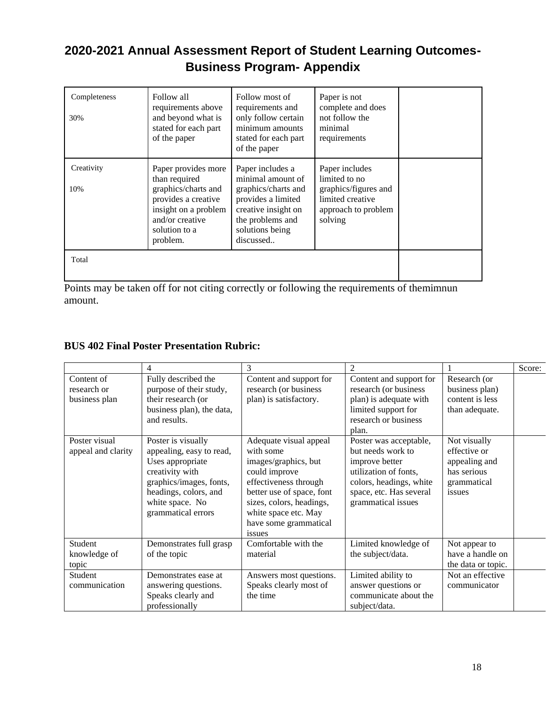| Completeness<br>30% | Follow all<br>requirements above<br>and beyond what is<br>stated for each part<br>of the paper                                                             | Follow most of<br>requirements and<br>only follow certain<br>minimum amounts<br>stated for each part<br>of the paper                                          | Paper is not<br>complete and does<br>not follow the<br>minimal<br>requirements                                |  |
|---------------------|------------------------------------------------------------------------------------------------------------------------------------------------------------|---------------------------------------------------------------------------------------------------------------------------------------------------------------|---------------------------------------------------------------------------------------------------------------|--|
| Creativity<br>10%   | Paper provides more<br>than required<br>graphics/charts and<br>provides a creative<br>insight on a problem<br>and/or creative<br>solution to a<br>problem. | Paper includes a<br>minimal amount of<br>graphics/charts and<br>provides a limited<br>creative insight on<br>the problems and<br>solutions being<br>discussed | Paper includes<br>limited to no<br>graphics/figures and<br>limited creative<br>approach to problem<br>solving |  |
| Total               |                                                                                                                                                            |                                                                                                                                                               |                                                                                                               |  |

Points may be taken off for not citing correctly or following the requirements of themimnun amount.

### **BUS 402 Final Poster Presentation Rubric:**

|                                            | 4                                                                                                                                                                                  | 3                                                                                                                                                                                                                         |                                                                                                                                                                    |                                                                                       | Score: |
|--------------------------------------------|------------------------------------------------------------------------------------------------------------------------------------------------------------------------------------|---------------------------------------------------------------------------------------------------------------------------------------------------------------------------------------------------------------------------|--------------------------------------------------------------------------------------------------------------------------------------------------------------------|---------------------------------------------------------------------------------------|--------|
| Content of<br>research or<br>business plan | Fully described the<br>purpose of their study,<br>their research (or<br>business plan), the data,<br>and results.                                                                  | Content and support for<br>research (or business<br>plan) is satisfactory.                                                                                                                                                | Content and support for<br>research (or business<br>plan) is adequate with<br>limited support for<br>research or business<br>plan.                                 | Research (or<br>business plan)<br>content is less<br>than adequate.                   |        |
| Poster visual<br>appeal and clarity        | Poster is visually<br>appealing, easy to read,<br>Uses appropriate<br>creativity with<br>graphics/images, fonts,<br>headings, colors, and<br>white space. No<br>grammatical errors | Adequate visual appeal<br>with some<br>images/graphics, but<br>could improve<br>effectiveness through<br>better use of space, font<br>sizes, colors, headings,<br>white space etc. May<br>have some grammatical<br>issues | Poster was acceptable,<br>but needs work to<br>improve better<br>utilization of fonts,<br>colors, headings, white<br>space, etc. Has several<br>grammatical issues | Not visually<br>effective or<br>appealing and<br>has serious<br>grammatical<br>issues |        |
| Student<br>knowledge of<br>topic           | Demonstrates full grasp<br>of the topic                                                                                                                                            | Comfortable with the<br>material                                                                                                                                                                                          | Limited knowledge of<br>the subject/data.                                                                                                                          | Not appear to<br>have a handle on<br>the data or topic.                               |        |
| Student<br>communication                   | Demonstrates ease at<br>answering questions.<br>Speaks clearly and<br>professionally                                                                                               | Answers most questions.<br>Speaks clearly most of<br>the time                                                                                                                                                             | Limited ability to<br>answer questions or<br>communicate about the<br>subject/data.                                                                                | Not an effective<br>communicator                                                      |        |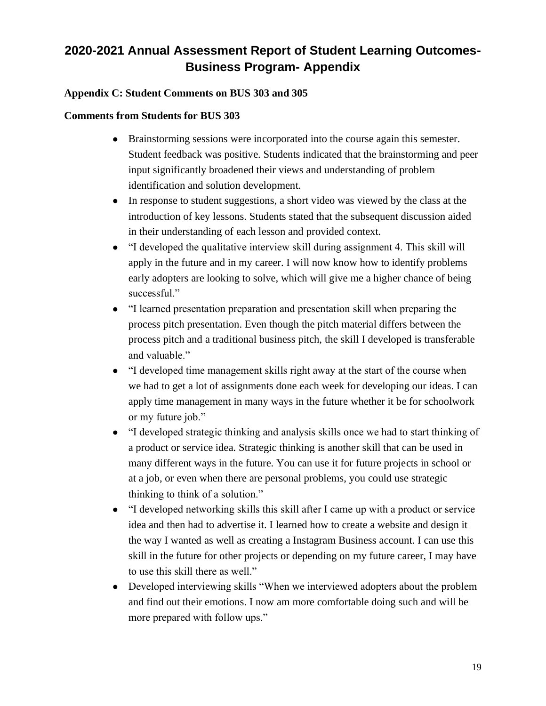### **Appendix C: Student Comments on BUS 303 and 305**

#### **Comments from Students for BUS 303**

- Brainstorming sessions were incorporated into the course again this semester. Student feedback was positive. Students indicated that the brainstorming and peer input significantly broadened their views and understanding of problem identification and solution development.
- In response to student suggestions, a short video was viewed by the class at the introduction of key lessons. Students stated that the subsequent discussion aided in their understanding of each lesson and provided context.
- "I developed the qualitative interview skill during assignment 4. This skill will apply in the future and in my career. I will now know how to identify problems early adopters are looking to solve, which will give me a higher chance of being successful."
- "I learned presentation preparation and presentation skill when preparing the process pitch presentation. Even though the pitch material differs between the process pitch and a traditional business pitch, the skill I developed is transferable and valuable."
- "I developed time management skills right away at the start of the course when we had to get a lot of assignments done each week for developing our ideas. I can apply time management in many ways in the future whether it be for schoolwork or my future job."
- "I developed strategic thinking and analysis skills once we had to start thinking of a product or service idea. Strategic thinking is another skill that can be used in many different ways in the future. You can use it for future projects in school or at a job, or even when there are personal problems, you could use strategic thinking to think of a solution."
- "I developed networking skills this skill after I came up with a product or service idea and then had to advertise it. I learned how to create a website and design it the way I wanted as well as creating a Instagram Business account. I can use this skill in the future for other projects or depending on my future career, I may have to use this skill there as well."
- Developed interviewing skills "When we interviewed adopters about the problem and find out their emotions. I now am more comfortable doing such and will be more prepared with follow ups."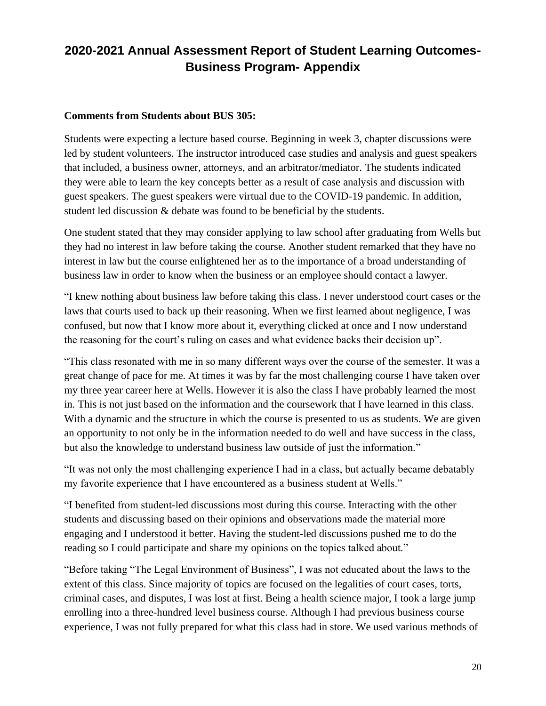#### **Comments from Students about BUS 305:**

Students were expecting a lecture based course. Beginning in week 3, chapter discussions were led by student volunteers. The instructor introduced case studies and analysis and guest speakers that included, a business owner, attorneys, and an arbitrator/mediator. The students indicated they were able to learn the key concepts better as a result of case analysis and discussion with guest speakers. The guest speakers were virtual due to the COVID-19 pandemic. In addition, student led discussion & debate was found to be beneficial by the students.

One student stated that they may consider applying to law school after graduating from Wells but they had no interest in law before taking the course. Another student remarked that they have no interest in law but the course enlightened her as to the importance of a broad understanding of business law in order to know when the business or an employee should contact a lawyer.

"I knew nothing about business law before taking this class. I never understood court cases or the laws that courts used to back up their reasoning. When we first learned about negligence, I was confused, but now that I know more about it, everything clicked at once and I now understand the reasoning for the court's ruling on cases and what evidence backs their decision up".

"This class resonated with me in so many different ways over the course of the semester. It was a great change of pace for me. At times it was by far the most challenging course I have taken over my three year career here at Wells. However it is also the class I have probably learned the most in. This is not just based on the information and the coursework that I have learned in this class. With a dynamic and the structure in which the course is presented to us as students. We are given an opportunity to not only be in the information needed to do well and have success in the class, but also the knowledge to understand business law outside of just the information."

"It was not only the most challenging experience I had in a class, but actually became debatably my favorite experience that I have encountered as a business student at Wells."

"I benefited from student-led discussions most during this course. Interacting with the other students and discussing based on their opinions and observations made the material more engaging and I understood it better. Having the student-led discussions pushed me to do the reading so I could participate and share my opinions on the topics talked about."

"Before taking "The Legal Environment of Business", I was not educated about the laws to the extent of this class. Since majority of topics are focused on the legalities of court cases, torts, criminal cases, and disputes, I was lost at first. Being a health science major, I took a large jump enrolling into a three-hundred level business course. Although I had previous business course experience, I was not fully prepared for what this class had in store. We used various methods of